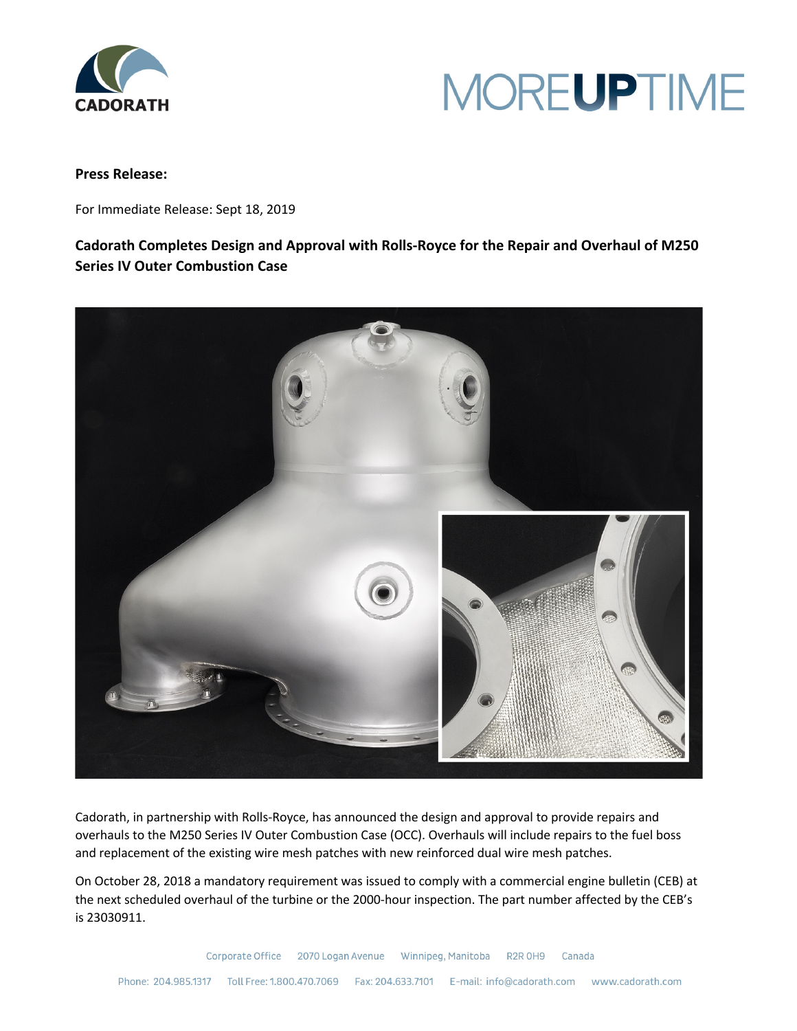



## **Press Release:**

For Immediate Release: Sept 18, 2019

## **Cadorath Completes Design and Approval with Rolls-Royce for the Repair and Overhaul of M250 Series IV Outer Combustion Case**



Cadorath, in partnership with Rolls-Royce, has announced the design and approval to provide repairs and overhauls to the M250 Series IV Outer Combustion Case (OCC). Overhauls will include repairs to the fuel boss and replacement of the existing wire mesh patches with new reinforced dual wire mesh patches.

On October 28, 2018 a mandatory requirement was issued to comply with a commercial engine bulletin (CEB) at the next scheduled overhaul of the turbine or the 2000-hour inspection. The part number affected by the CEB's is 23030911.